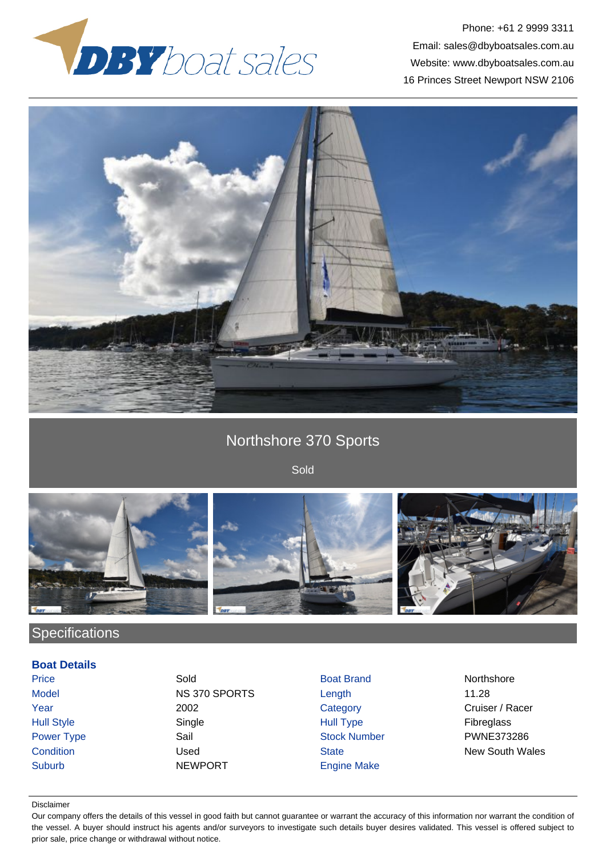



# Northshore 370 Sports

Sold



## **Specifications**

### **Boat Details**

Price **Sold Sold Boat Brand Northshore Sold** Boat Brand Northshore Model NS 370 SPORTS Length 11.28 **The 2002** Category Category Cruiser / Racer Hull Style Single Hull Type Fibreglass Power Type Sail Sail Stock Number PWNE373286 Suburb NEWPORT Engine Make

**Condition** Condition **Condition** Used State State New South Wales

#### Disclaimer

Our company offers the details of this vessel in good faith but cannot guarantee or warrant the accuracy of this information nor warrant the condition of the vessel. A buyer should instruct his agents and/or surveyors to investigate such details buyer desires validated. This vessel is offered subject to prior sale, price change or withdrawal without notice.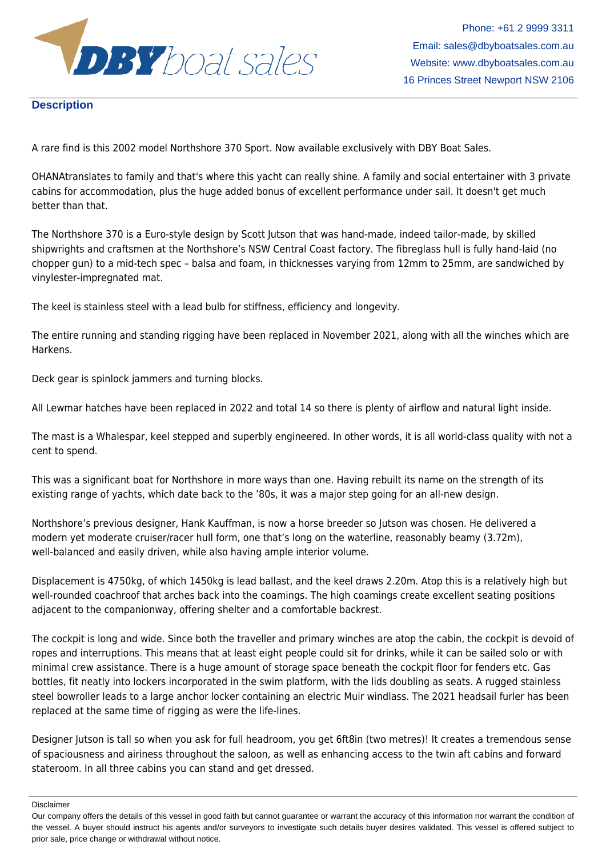

### **Description**

A rare find is this 2002 model Northshore 370 Sport. Now available exclusively with DBY Boat Sales.

OHANAtranslates to family and that's where this yacht can really shine. A family and social entertainer with 3 private cabins for accommodation, plus the huge added bonus of excellent performance under sail. It doesn't get much better than that.

The Northshore 370 is a Euro-style design by Scott Jutson that was hand-made, indeed tailor-made, by skilled shipwrights and craftsmen at the Northshore's NSW Central Coast factory. The fibreglass hull is fully hand-laid (no chopper gun) to a mid-tech spec – balsa and foam, in thicknesses varying from 12mm to 25mm, are sandwiched by vinylester-impregnated mat.

The keel is stainless steel with a lead bulb for stiffness, efficiency and longevity.

The entire running and standing rigging have been replaced in November 2021, along with all the winches which are Harkens.

Deck gear is spinlock jammers and turning blocks.

All Lewmar hatches have been replaced in 2022 and total 14 so there is plenty of airflow and natural light inside.

The mast is a Whalespar, keel stepped and superbly engineered. In other words, it is all world-class quality with not a cent to spend.

This was a significant boat for Northshore in more ways than one. Having rebuilt its name on the strength of its existing range of yachts, which date back to the '80s, it was a major step going for an all-new design.

Northshore's previous designer, Hank Kauffman, is now a horse breeder so Jutson was chosen. He delivered a modern yet moderate cruiser/racer hull form, one that's long on the waterline, reasonably beamy (3.72m), well-balanced and easily driven, while also having ample interior volume.

Displacement is 4750kg, of which 1450kg is lead ballast, and the keel draws 2.20m. Atop this is a relatively high but well-rounded coachroof that arches back into the coamings. The high coamings create excellent seating positions adjacent to the companionway, offering shelter and a comfortable backrest.

The cockpit is long and wide. Since both the traveller and primary winches are atop the cabin, the cockpit is devoid of ropes and interruptions. This means that at least eight people could sit for drinks, while it can be sailed solo or with minimal crew assistance. There is a huge amount of storage space beneath the cockpit floor for fenders etc. Gas bottles, fit neatly into lockers incorporated in the swim platform, with the lids doubling as seats. A rugged stainless steel bowroller leads to a large anchor locker containing an electric Muir windlass. The 2021 headsail furler has been replaced at the same time of rigging as were the life-lines.

Designer Jutson is tall so when you ask for full headroom, you get 6ft8in (two metres)! It creates a tremendous sense of spaciousness and airiness throughout the saloon, as well as enhancing access to the twin aft cabins and forward stateroom. In all three cabins you can stand and get dressed.

Disclaimer

Our company offers the details of this vessel in good faith but cannot guarantee or warrant the accuracy of this information nor warrant the condition of the vessel. A buyer should instruct his agents and/or surveyors to investigate such details buyer desires validated. This vessel is offered subject to prior sale, price change or withdrawal without notice.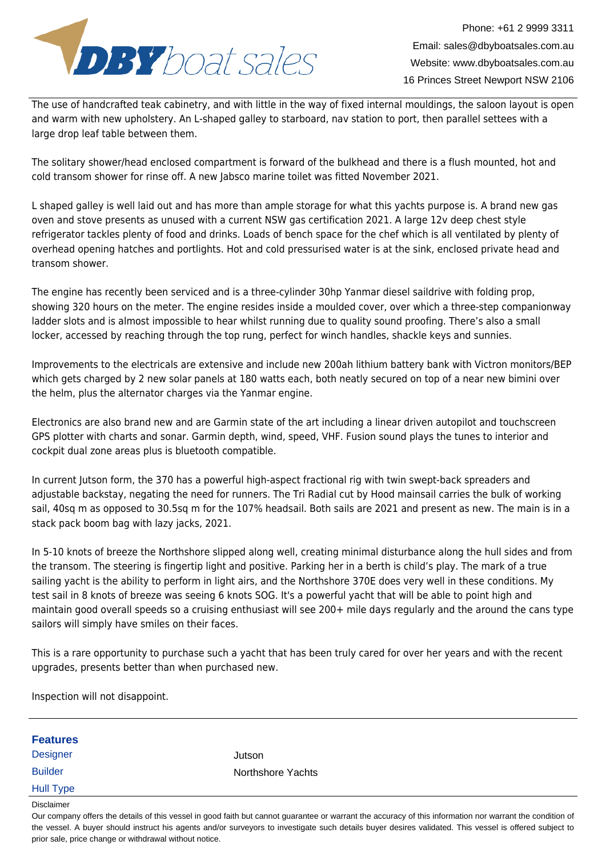

The use of handcrafted teak cabinetry, and with little in the way of fixed internal mouldings, the saloon layout is open and warm with new upholstery. An L-shaped galley to starboard, nav station to port, then parallel settees with a large drop leaf table between them.

The solitary shower/head enclosed compartment is forward of the bulkhead and there is a flush mounted, hot and cold transom shower for rinse off. A new Jabsco marine toilet was fitted November 2021.

L shaped galley is well laid out and has more than ample storage for what this yachts purpose is. A brand new gas oven and stove presents as unused with a current NSW gas certification 2021. A large 12v deep chest style refrigerator tackles plenty of food and drinks. Loads of bench space for the chef which is all ventilated by plenty of overhead opening hatches and portlights. Hot and cold pressurised water is at the sink, enclosed private head and transom shower.

The engine has recently been serviced and is a three-cylinder 30hp Yanmar diesel saildrive with folding prop, showing 320 hours on the meter. The engine resides inside a moulded cover, over which a three-step companionway ladder slots and is almost impossible to hear whilst running due to quality sound proofing. There's also a small locker, accessed by reaching through the top rung, perfect for winch handles, shackle keys and sunnies.

Improvements to the electricals are extensive and include new 200ah lithium battery bank with Victron monitors/BEP which gets charged by 2 new solar panels at 180 watts each, both neatly secured on top of a near new bimini over the helm, plus the alternator charges via the Yanmar engine.

Electronics are also brand new and are Garmin state of the art including a linear driven autopilot and touchscreen GPS plotter with charts and sonar. Garmin depth, wind, speed, VHF. Fusion sound plays the tunes to interior and cockpit dual zone areas plus is bluetooth compatible.

In current Jutson form, the 370 has a powerful high-aspect fractional rig with twin swept-back spreaders and adjustable backstay, negating the need for runners. The Tri Radial cut by Hood mainsail carries the bulk of working sail, 40sq m as opposed to 30.5sq m for the 107% headsail. Both sails are 2021 and present as new. The main is in a stack pack boom bag with lazy jacks, 2021.

In 5-10 knots of breeze the Northshore slipped along well, creating minimal disturbance along the hull sides and from the transom. The steering is fingertip light and positive. Parking her in a berth is child's play. The mark of a true sailing yacht is the ability to perform in light airs, and the Northshore 370E does very well in these conditions. My test sail in 8 knots of breeze was seeing 6 knots SOG. It's a powerful yacht that will be able to point high and maintain good overall speeds so a cruising enthusiast will see 200+ mile days regularly and the around the cans type sailors will simply have smiles on their faces.

This is a rare opportunity to purchase such a yacht that has been truly cared for over her years and with the recent upgrades, presents better than when purchased new.

Inspection will not disappoint.

| <b>Features</b>  |                   |  |
|------------------|-------------------|--|
| <b>Designer</b>  | Jutson            |  |
| <b>Builder</b>   | Northshore Yachts |  |
| <b>Hull Type</b> |                   |  |
| Disclaimer       |                   |  |

Our company offers the details of this vessel in good faith but cannot guarantee or warrant the accuracy of this information nor warrant the condition of the vessel. A buyer should instruct his agents and/or surveyors to investigate such details buyer desires validated. This vessel is offered subject to prior sale, price change or withdrawal without notice.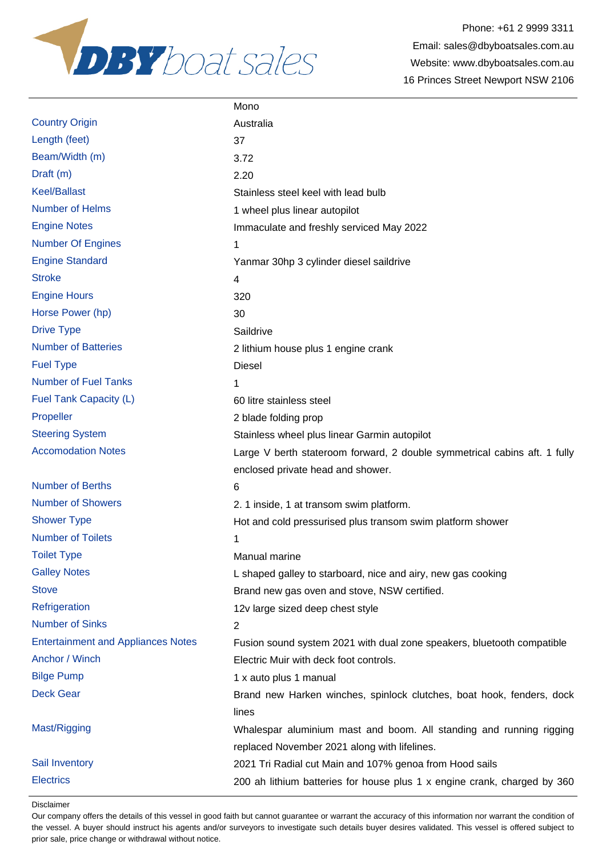

|                                           | Mono                                                                      |
|-------------------------------------------|---------------------------------------------------------------------------|
| <b>Country Origin</b>                     | Australia                                                                 |
| Length (feet)                             | 37                                                                        |
| Beam/Width (m)                            | 3.72                                                                      |
| Draft (m)                                 | 2.20                                                                      |
| <b>Keel/Ballast</b>                       | Stainless steel keel with lead bulb                                       |
| <b>Number of Helms</b>                    | 1 wheel plus linear autopilot                                             |
| <b>Engine Notes</b>                       | Immaculate and freshly serviced May 2022                                  |
| <b>Number Of Engines</b>                  | 1                                                                         |
| <b>Engine Standard</b>                    | Yanmar 30hp 3 cylinder diesel saildrive                                   |
| <b>Stroke</b>                             | 4                                                                         |
| <b>Engine Hours</b>                       | 320                                                                       |
| Horse Power (hp)                          | 30                                                                        |
| <b>Drive Type</b>                         | Saildrive                                                                 |
| <b>Number of Batteries</b>                | 2 lithium house plus 1 engine crank                                       |
| <b>Fuel Type</b>                          | <b>Diesel</b>                                                             |
| <b>Number of Fuel Tanks</b>               | 1                                                                         |
| Fuel Tank Capacity (L)                    | 60 litre stainless steel                                                  |
| Propeller                                 | 2 blade folding prop                                                      |
| <b>Steering System</b>                    | Stainless wheel plus linear Garmin autopilot                              |
| <b>Accomodation Notes</b>                 | Large V berth stateroom forward, 2 double symmetrical cabins aft. 1 fully |
|                                           | enclosed private head and shower.                                         |
| <b>Number of Berths</b>                   | 6                                                                         |
| <b>Number of Showers</b>                  | 2. 1 inside, 1 at transom swim platform.                                  |
| <b>Shower Type</b>                        | Hot and cold pressurised plus transom swim platform shower                |
| <b>Number of Toilets</b>                  | 1                                                                         |
| <b>Toilet Type</b>                        | Manual marine                                                             |
| <b>Galley Notes</b>                       | L shaped galley to starboard, nice and airy, new gas cooking              |
| <b>Stove</b>                              | Brand new gas oven and stove, NSW certified.                              |
| Refrigeration                             | 12v large sized deep chest style                                          |
| <b>Number of Sinks</b>                    | $\overline{2}$                                                            |
| <b>Entertainment and Appliances Notes</b> | Fusion sound system 2021 with dual zone speakers, bluetooth compatible    |
| Anchor / Winch                            | Electric Muir with deck foot controls.                                    |
| <b>Bilge Pump</b>                         | 1 x auto plus 1 manual                                                    |
| <b>Deck Gear</b>                          | Brand new Harken winches, spinlock clutches, boat hook, fenders, dock     |
|                                           | lines                                                                     |
| Mast/Rigging                              | Whalespar aluminium mast and boom. All standing and running rigging       |
|                                           | replaced November 2021 along with lifelines.                              |
| Sail Inventory                            | 2021 Tri Radial cut Main and 107% genoa from Hood sails                   |
| <b>Electrics</b>                          | 200 ah lithium batteries for house plus 1 x engine crank, charged by 360  |

Disclaimer

Our company offers the details of this vessel in good faith but cannot guarantee or warrant the accuracy of this information nor warrant the condition of the vessel. A buyer should instruct his agents and/or surveyors to investigate such details buyer desires validated. This vessel is offered subject to prior sale, price change or withdrawal without notice.